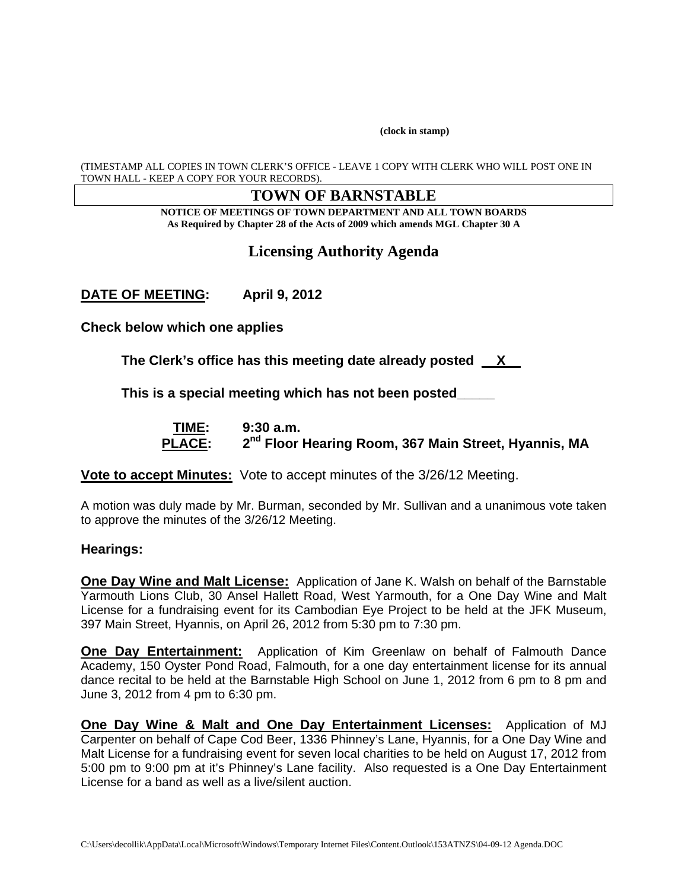**(clock in stamp)** 

(TIMESTAMP ALL COPIES IN TOWN CLERK'S OFFICE - LEAVE 1 COPY WITH CLERK WHO WILL POST ONE IN TOWN HALL - KEEP A COPY FOR YOUR RECORDS).

#### **TOWN OF BARNSTABLE**

**NOTICE OF MEETINGS OF TOWN DEPARTMENT AND ALL TOWN BOARDS As Required by Chapter 28 of the Acts of 2009 which amends MGL Chapter 30 A** 

# **Licensing Authority Agenda**

**DATE OF MEETING: April 9, 2012** 

**Check below which one applies** 

**The Clerk's office has this meeting date already posted \_\_X\_\_** 

**This is a special meeting which has not been posted\_\_\_\_\_** 

 **TIME: 9:30 a.m.**  PLACE:  $2^{nd}$  Floor Hearing Room, 367 Main Street, Hyannis, MA

**Vote to accept Minutes:** Vote to accept minutes of the 3/26/12 Meeting.

A motion was duly made by Mr. Burman, seconded by Mr. Sullivan and a unanimous vote taken to approve the minutes of the 3/26/12 Meeting.

#### **Hearings:**

**One Day Wine and Malt License:** Application of Jane K. Walsh on behalf of the Barnstable Yarmouth Lions Club, 30 Ansel Hallett Road, West Yarmouth, for a One Day Wine and Malt License for a fundraising event for its Cambodian Eye Project to be held at the JFK Museum, 397 Main Street, Hyannis, on April 26, 2012 from 5:30 pm to 7:30 pm.

**One Day Entertainment:** Application of Kim Greenlaw on behalf of Falmouth Dance Academy, 150 Oyster Pond Road, Falmouth, for a one day entertainment license for its annual dance recital to be held at the Barnstable High School on June 1, 2012 from 6 pm to 8 pm and June 3, 2012 from 4 pm to 6:30 pm.

**One Day Wine & Malt and One Day Entertainment Licenses:** Application of MJ Carpenter on behalf of Cape Cod Beer, 1336 Phinney's Lane, Hyannis, for a One Day Wine and Malt License for a fundraising event for seven local charities to be held on August 17, 2012 from 5:00 pm to 9:00 pm at it's Phinney's Lane facility. Also requested is a One Day Entertainment License for a band as well as a live/silent auction.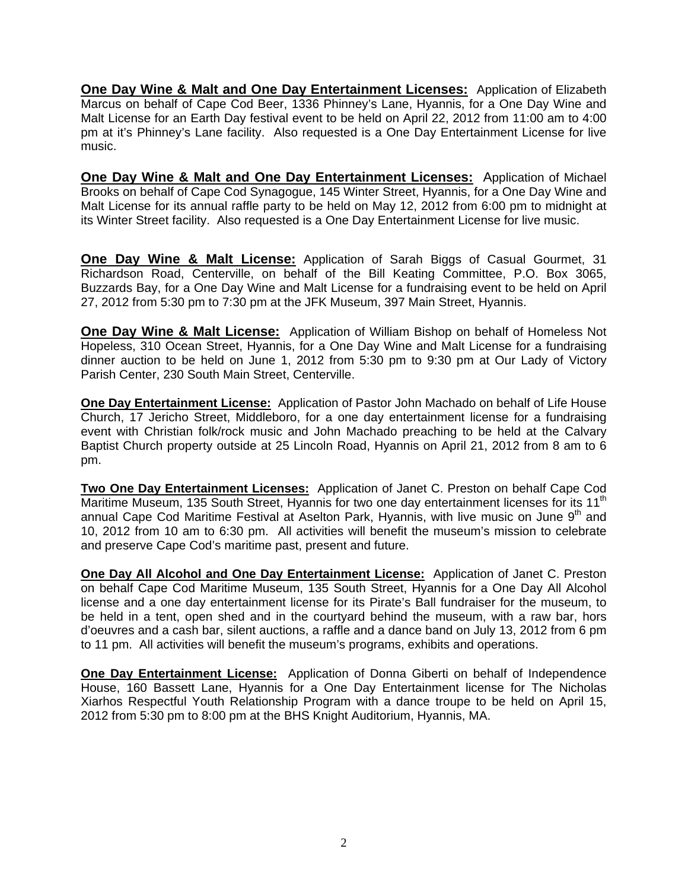**One Day Wine & Malt and One Day Entertainment Licenses:** Application of Elizabeth Marcus on behalf of Cape Cod Beer, 1336 Phinney's Lane, Hyannis, for a One Day Wine and Malt License for an Earth Day festival event to be held on April 22, 2012 from 11:00 am to 4:00 pm at it's Phinney's Lane facility. Also requested is a One Day Entertainment License for live music.

**One Day Wine & Malt and One Day Entertainment Licenses:** Application of Michael Brooks on behalf of Cape Cod Synagogue, 145 Winter Street, Hyannis, for a One Day Wine and Malt License for its annual raffle party to be held on May 12, 2012 from 6:00 pm to midnight at its Winter Street facility. Also requested is a One Day Entertainment License for live music.

**One Day Wine & Malt License:** Application of Sarah Biggs of Casual Gourmet, 31 Richardson Road, Centerville, on behalf of the Bill Keating Committee, P.O. Box 3065, Buzzards Bay, for a One Day Wine and Malt License for a fundraising event to be held on April 27, 2012 from 5:30 pm to 7:30 pm at the JFK Museum, 397 Main Street, Hyannis.

**One Day Wine & Malt License:** Application of William Bishop on behalf of Homeless Not Hopeless, 310 Ocean Street, Hyannis, for a One Day Wine and Malt License for a fundraising dinner auction to be held on June 1, 2012 from 5:30 pm to 9:30 pm at Our Lady of Victory Parish Center, 230 South Main Street, Centerville.

**One Day Entertainment License:** Application of Pastor John Machado on behalf of Life House Church, 17 Jericho Street, Middleboro, for a one day entertainment license for a fundraising event with Christian folk/rock music and John Machado preaching to be held at the Calvary Baptist Church property outside at 25 Lincoln Road, Hyannis on April 21, 2012 from 8 am to 6 pm.

**Two One Day Entertainment Licenses:** Application of Janet C. Preston on behalf Cape Cod Maritime Museum, 135 South Street, Hyannis for two one day entertainment licenses for its 11<sup>th</sup> annual Cape Cod Maritime Festival at Aselton Park, Hyannis, with live music on June 9<sup>th</sup> and 10, 2012 from 10 am to 6:30 pm. All activities will benefit the museum's mission to celebrate and preserve Cape Cod's maritime past, present and future.

**One Day All Alcohol and One Day Entertainment License:** Application of Janet C. Preston on behalf Cape Cod Maritime Museum, 135 South Street, Hyannis for a One Day All Alcohol license and a one day entertainment license for its Pirate's Ball fundraiser for the museum, to be held in a tent, open shed and in the courtyard behind the museum, with a raw bar, hors d'oeuvres and a cash bar, silent auctions, a raffle and a dance band on July 13, 2012 from 6 pm to 11 pm. All activities will benefit the museum's programs, exhibits and operations.

**One Day Entertainment License:** Application of Donna Giberti on behalf of Independence House, 160 Bassett Lane, Hyannis for a One Day Entertainment license for The Nicholas Xiarhos Respectful Youth Relationship Program with a dance troupe to be held on April 15, 2012 from 5:30 pm to 8:00 pm at the BHS Knight Auditorium, Hyannis, MA.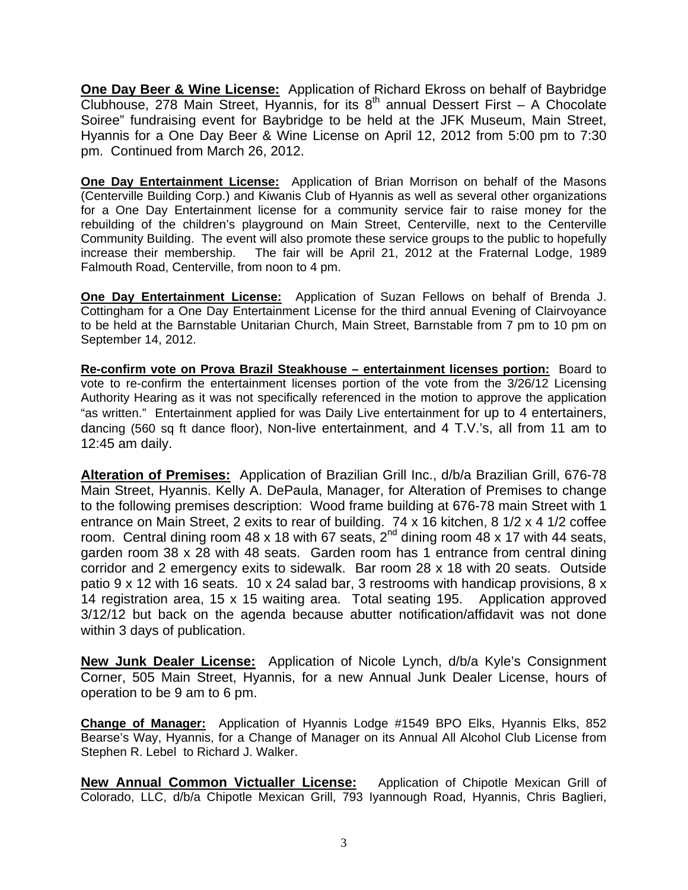**One Day Beer & Wine License:** Application of Richard Ekross on behalf of Baybridge Clubhouse, 278 Main Street, Hyannis, for its  $8<sup>th</sup>$  annual Dessert First – A Chocolate Soiree" fundraising event for Baybridge to be held at the JFK Museum, Main Street, Hyannis for a One Day Beer & Wine License on April 12, 2012 from 5:00 pm to 7:30 pm. Continued from March 26, 2012.

**One Day Entertainment License:** Application of Brian Morrison on behalf of the Masons (Centerville Building Corp.) and Kiwanis Club of Hyannis as well as several other organizations for a One Day Entertainment license for a community service fair to raise money for the rebuilding of the children's playground on Main Street, Centerville, next to the Centerville Community Building. The event will also promote these service groups to the public to hopefully increase their membership. The fair will be April 21, 2012 at the Fraternal Lodge, 1989 Falmouth Road, Centerville, from noon to 4 pm.

**One Day Entertainment License:** Application of Suzan Fellows on behalf of Brenda J. Cottingham for a One Day Entertainment License for the third annual Evening of Clairvoyance to be held at the Barnstable Unitarian Church, Main Street, Barnstable from 7 pm to 10 pm on September 14, 2012.

**Re-confirm vote on Prova Brazil Steakhouse – entertainment licenses portion:** Board to vote to re-confirm the entertainment licenses portion of the vote from the 3/26/12 Licensing Authority Hearing as it was not specifically referenced in the motion to approve the application "as written." Entertainment applied for was Daily Live entertainment for up to 4 entertainers, dancing (560 sq ft dance floor), Non-live entertainment, and 4 T.V.'s, all from 11 am to 12:45 am daily.

**Alteration of Premises:** Application of Brazilian Grill Inc., d/b/a Brazilian Grill, 676-78 Main Street, Hyannis. Kelly A. DePaula, Manager, for Alteration of Premises to change to the following premises description: Wood frame building at 676-78 main Street with 1 entrance on Main Street, 2 exits to rear of building. 74 x 16 kitchen, 8 1/2 x 4 1/2 coffee room. Central dining room 48 x 18 with 67 seats,  $2^{nd}$  dining room 48 x 17 with 44 seats, garden room 38 x 28 with 48 seats. Garden room has 1 entrance from central dining corridor and 2 emergency exits to sidewalk. Bar room 28 x 18 with 20 seats. Outside patio 9 x 12 with 16 seats. 10 x 24 salad bar, 3 restrooms with handicap provisions, 8 x 14 registration area, 15 x 15 waiting area. Total seating 195. Application approved 3/12/12 but back on the agenda because abutter notification/affidavit was not done within 3 days of publication.

**New Junk Dealer License:** Application of Nicole Lynch, d/b/a Kyle's Consignment Corner, 505 Main Street, Hyannis, for a new Annual Junk Dealer License, hours of operation to be 9 am to 6 pm.

**Change of Manager:** Application of Hyannis Lodge #1549 BPO Elks, Hyannis Elks, 852 Bearse's Way, Hyannis, for a Change of Manager on its Annual All Alcohol Club License from Stephen R. Lebel to Richard J. Walker.

**New Annual Common Victualler License:** Application of Chipotle Mexican Grill of Colorado, LLC, d/b/a Chipotle Mexican Grill, 793 Iyannough Road, Hyannis, Chris Baglieri,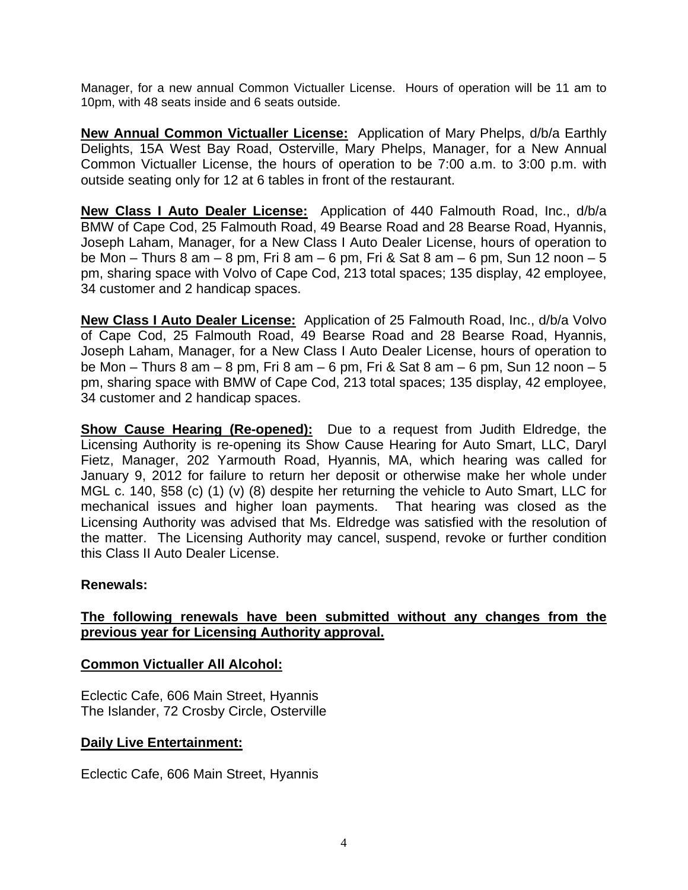Manager, for a new annual Common Victualler License. Hours of operation will be 11 am to 10pm, with 48 seats inside and 6 seats outside.

**New Annual Common Victualler License:** Application of Mary Phelps, d/b/a Earthly Delights, 15A West Bay Road, Osterville, Mary Phelps, Manager, for a New Annual Common Victualler License, the hours of operation to be 7:00 a.m. to 3:00 p.m. with outside seating only for 12 at 6 tables in front of the restaurant.

**New Class I Auto Dealer License:** Application of 440 Falmouth Road, Inc., d/b/a BMW of Cape Cod, 25 Falmouth Road, 49 Bearse Road and 28 Bearse Road, Hyannis, Joseph Laham, Manager, for a New Class I Auto Dealer License, hours of operation to be Mon – Thurs 8 am – 8 pm, Fri 8 am – 6 pm, Fri & Sat 8 am – 6 pm, Sun 12 noon – 5 pm, sharing space with Volvo of Cape Cod, 213 total spaces; 135 display, 42 employee, 34 customer and 2 handicap spaces.

**New Class I Auto Dealer License:** Application of 25 Falmouth Road, Inc., d/b/a Volvo of Cape Cod, 25 Falmouth Road, 49 Bearse Road and 28 Bearse Road, Hyannis, Joseph Laham, Manager, for a New Class I Auto Dealer License, hours of operation to be Mon – Thurs 8 am – 8 pm, Fri 8 am – 6 pm, Fri & Sat 8 am – 6 pm, Sun 12 noon – 5 pm, sharing space with BMW of Cape Cod, 213 total spaces; 135 display, 42 employee, 34 customer and 2 handicap spaces.

**Show Cause Hearing (Re-opened):** Due to a request from Judith Eldredge, the Licensing Authority is re-opening its Show Cause Hearing for Auto Smart, LLC, Daryl Fietz, Manager, 202 Yarmouth Road, Hyannis, MA, which hearing was called for January 9, 2012 for failure to return her deposit or otherwise make her whole under MGL c. 140, §58 (c) (1) (v) (8) despite her returning the vehicle to Auto Smart, LLC for mechanical issues and higher loan payments. That hearing was closed as the Licensing Authority was advised that Ms. Eldredge was satisfied with the resolution of the matter. The Licensing Authority may cancel, suspend, revoke or further condition this Class II Auto Dealer License.

## **Renewals:**

# **The following renewals have been submitted without any changes from the previous year for Licensing Authority approval.**

## **Common Victualler All Alcohol:**

Eclectic Cafe, 606 Main Street, Hyannis The Islander, 72 Crosby Circle, Osterville

## **Daily Live Entertainment:**

Eclectic Cafe, 606 Main Street, Hyannis